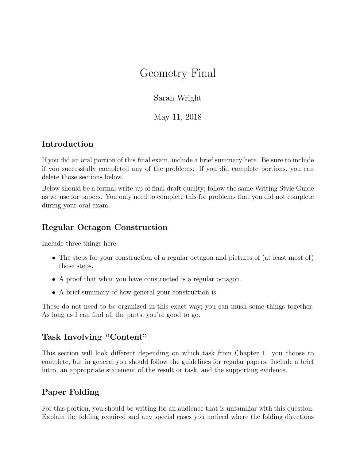# Geometry Final

Sarah Wright

May 11, 2018

# Introduction

If you did an oral portion of this final exam, include a brief summary here. Be sure to include if you successfully completed any of the problems. If you did complete portions, you can delete those sections below.

Below should be a formal write-up of final draft quality; follow the same Writing Style Guide as we use for papers. You only need to complete this for problems that you did not complete during your oral exam.

### Regular Octagon Construction

Include three things here:

- The steps for your construction of a regular octagon and pictures of (at least most of) those steps.
- A proof that what you have constructed is a regular octagon.
- A brief summary of how general your construction is.

These do not need to be organized in this exact way; you can mush some things together. As long as I can find all the parts, you're good to go.

# Task Involving "Content"

This section will look different depending on which task from Chapter 11 you choose to complete, but in general you should follow the guidelines for regular papers. Include a brief intro, an appropriate statement of the result or task, and the supporting evidence.

# Paper Folding

For this portion, you should be writing for an audience that is unfamiliar with this question. Explain the folding required and any special cases you noticed where the folding directions